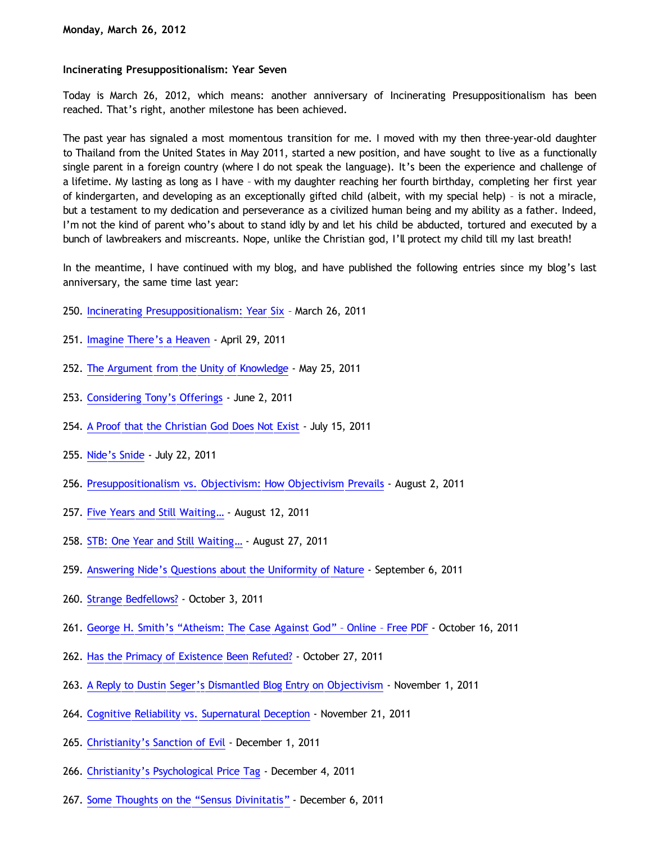## **Incinerating Presuppositionalism: Year Seven**

Today is March 26, 2012, which means: another anniversary of Incinerating Presuppositionalism has been reached. That's right, another milestone has been achieved.

The past year has signaled a most momentous transition for me. I moved with my then three-year-old daughter to Thailand from the United States in May 2011, started a new position, and have sought to live as a functionally single parent in a foreign country (where I do not speak the language). It's been the experience and challenge of a lifetime. My lasting as long as I have – with my daughter reaching her fourth birthday, completing her first year of kindergarten, and developing as an exceptionally gifted child (albeit, with my special help) – is not a miracle, but a testament to my dedication and perseverance as a civilized human being and my ability as a father. Indeed, I'm not the kind of parent who's about to stand idly by and let his child be abducted, tortured and executed by a bunch of lawbreakers and miscreants. Nope, unlike the Christian god, I'll protect my child till my last breath!

In the meantime, I have continued with my blog, and have published the following entries since my blog's last anniversary, the same time last year:

- 250. [Incinerating Presuppositionalism: Year Six](http://bahnsenburner.blogspot.com/2011/03/incinerating-presuppositionalism-year.html) March 26, 2011
- 251. [Imagine There's a Heaven](http://bahnsenburner.blogspot.com/2011/04/imagine-theres-heaven_29.html) April 29, 2011
- 252. [The Argument from the Unity of Knowledge](http://bahnsenburner.blogspot.com/2011/05/argument-from-unity-of-knowledge.html)  May 25, 2011
- 253. [Considering Tony's Offerings](http://bahnsenburner.blogspot.com/2011/06/considering-tonys-offerings.html) June 2, 2011
- 254. [A Proof that the Christian God Does Not Exist](http://bahnsenburner.blogspot.com/2011/07/proof-that-christian-god-does-not-exist.html) July 15, 2011
- 255. [Nide's Snide](http://bahnsenburner.blogspot.com/2011/07/nides-snide.html) July 22, 2011
- 256. [Presuppositionalism vs. Objectivism: How Objectivism Prevails](http://bahnsenburner.blogspot.com/2011/08/presuppositionalism-vs-objectivism-how.html)  August 2, 2011
- 257. [Five Years and Still Waiting…](http://bahnsenburner.blogspot.com/2011/08/five-years-and-still-waiting.html)  August 12, 2011
- 258. STB: One Year and Still Waiting... August 27, 2011
- 259. [Answering Nide's Questions about the Uniformity of Nature](http://bahnsenburner.blogspot.com/2011/09/answering-nides-questions-about.html)  September 6, 2011
- 260. [Strange Bedfellows?](http://bahnsenburner.blogspot.com/2011/10/strange-bedfellows.html) October 3, 2011
- 261. [George H. Smith's](http://bahnsenburner.blogspot.com/2011/10/george-h-smiths-atheism-case-against.html) ["Atheism: The Case Against God"](http://bahnsenburner.blogspot.com/2011/10/george-h-smiths-atheism-case-against.html)  [Online](http://bahnsenburner.blogspot.com/2011/10/george-h-smiths-atheism-case-against.html)  [Free PDF](http://bahnsenburner.blogspot.com/2011/10/george-h-smiths-atheism-case-against.html)  October 16, 2011
- 262. [Has the Primacy of Existence Been Refuted?](http://bahnsenburner.blogspot.com/2011/10/has-primacy-of-existence-been-refuted.html) October 27, 2011
- 263. [A Reply to Dustin Seger's Dismantled Blog Entry on Objectivism](http://bahnsenburner.blogspot.com/2011/11/reply-to-dustin-segers-dismantled-blog.html)  November 1, 2011
- 264. [Cognitive Reliability vs. Supernatural Deception](http://bahnsenburner.blogspot.com/2011/11/cognitive-reliability-vs-supernatural.html)  November 21, 2011
- 265. [Christianity's Sanction of Evil](http://bahnsenburner.blogspot.com/2011/12/christianitys-sanction-of-evil.html) December 1, 2011
- 266. [Christianity's Psychological Price Tag](http://bahnsenburner.blogspot.com/2011/12/christianitys-psychological-price-tag.html) December 4, 2011
- 267. [Some Thoughts on the](http://bahnsenburner.blogspot.com/2011/12/some-thoughts-on-sensus-divinitatus.html) ["Sensus Divinitatis"](http://bahnsenburner.blogspot.com/2011/12/some-thoughts-on-sensus-divinitatus.html) December 6, 2011